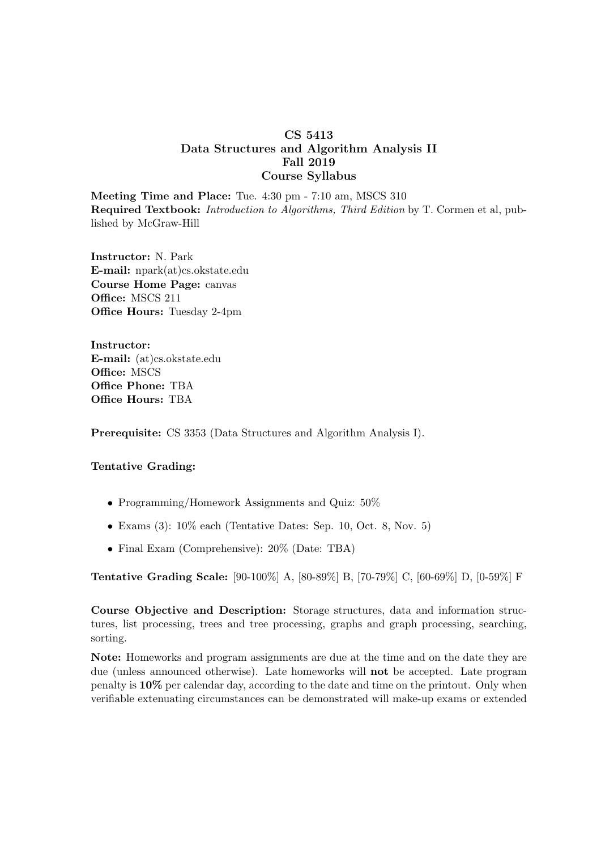## CS 5413 Data Structures and Algorithm Analysis II Fall 2019 Course Syllabus

Meeting Time and Place: Tue. 4:30 pm - 7:10 am, MSCS 310 Required Textbook: Introduction to Algorithms, Third Edition by T. Cormen et al, published by McGraw-Hill

Instructor: N. Park E-mail: npark(at)cs.okstate.edu Course Home Page: canvas Office: MSCS 211 Office Hours: Tuesday 2-4pm

Instructor: E-mail: (at)cs.okstate.edu Office: MSCS Office Phone: TBA Office Hours: TBA

Prerequisite: CS 3353 (Data Structures and Algorithm Analysis I).

## Tentative Grading:

- Programming/Homework Assignments and Quiz:  $50\%$
- Exams  $(3)$ :  $10\%$  each (Tentative Dates: Sep. 10, Oct. 8, Nov. 5)
- Final Exam (Comprehensive): 20% (Date: TBA)

Tentative Grading Scale: [90-100%] A, [80-89%] B, [70-79%] C, [60-69%] D, [0-59%] F

Course Objective and Description: Storage structures, data and information structures, list processing, trees and tree processing, graphs and graph processing, searching, sorting.

Note: Homeworks and program assignments are due at the time and on the date they are due (unless announced otherwise). Late homeworks will not be accepted. Late program penalty is 10% per calendar day, according to the date and time on the printout. Only when verifiable extenuating circumstances can be demonstrated will make-up exams or extended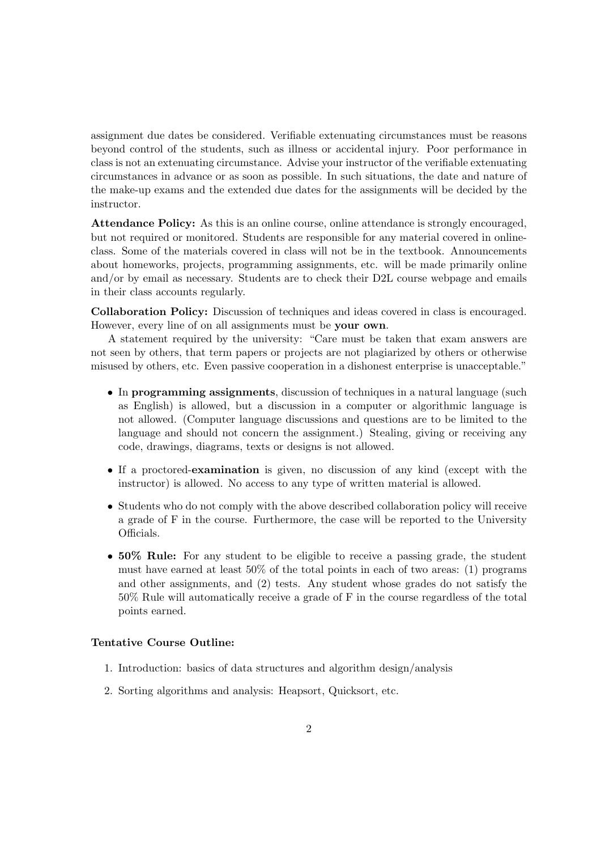assignment due dates be considered. Verifiable extenuating circumstances must be reasons beyond control of the students, such as illness or accidental injury. Poor performance in class is not an extenuating circumstance. Advise your instructor of the verifiable extenuating circumstances in advance or as soon as possible. In such situations, the date and nature of the make-up exams and the extended due dates for the assignments will be decided by the instructor.

Attendance Policy: As this is an online course, online attendance is strongly encouraged, but not required or monitored. Students are responsible for any material covered in onlineclass. Some of the materials covered in class will not be in the textbook. Announcements about homeworks, projects, programming assignments, etc. will be made primarily online and/or by email as necessary. Students are to check their D2L course webpage and emails in their class accounts regularly.

Collaboration Policy: Discussion of techniques and ideas covered in class is encouraged. However, every line of on all assignments must be your own.

A statement required by the university: "Care must be taken that exam answers are not seen by others, that term papers or projects are not plagiarized by others or otherwise misused by others, etc. Even passive cooperation in a dishonest enterprise is unacceptable."

- In programming assignments, discussion of techniques in a natural language (such as English) is allowed, but a discussion in a computer or algorithmic language is not allowed. (Computer language discussions and questions are to be limited to the language and should not concern the assignment.) Stealing, giving or receiving any code, drawings, diagrams, texts or designs is not allowed.
- If a proctored-examination is given, no discussion of any kind (except with the instructor) is allowed. No access to any type of written material is allowed.
- Students who do not comply with the above described collaboration policy will receive a grade of F in the course. Furthermore, the case will be reported to the University Officials.
- 50% Rule: For any student to be eligible to receive a passing grade, the student must have earned at least 50% of the total points in each of two areas: (1) programs and other assignments, and (2) tests. Any student whose grades do not satisfy the 50% Rule will automatically receive a grade of F in the course regardless of the total points earned.

## Tentative Course Outline:

- 1. Introduction: basics of data structures and algorithm design/analysis
- 2. Sorting algorithms and analysis: Heapsort, Quicksort, etc.